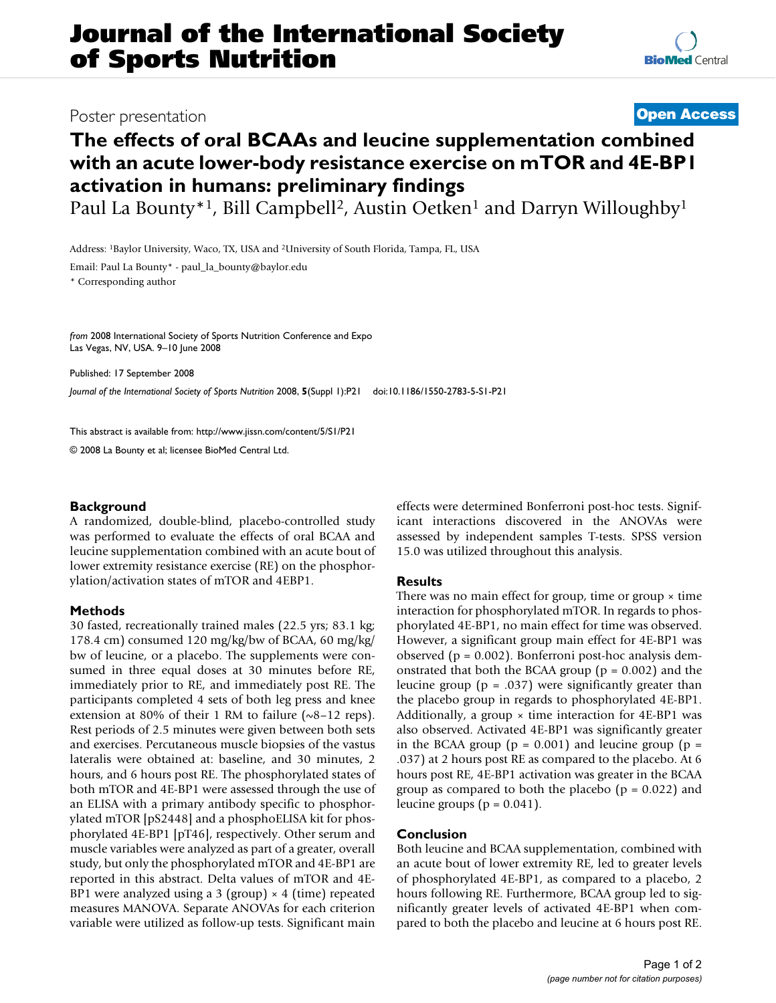## Poster presentation **Contract Contract Contract Contract Contract Contract Contract Contract Contract Contract Contract Contract Contract Contract Contract Contract Contract Contract Contract Contract Contract Contract Con**

# **The effects of oral BCAAs and leucine supplementation combined with an acute lower-body resistance exercise on mTOR and 4E-BP1 activation in humans: preliminary findings**

Paul La Bounty<sup>\*1</sup>, Bill Campbell<sup>2</sup>, Austin Oetken<sup>1</sup> and Darryn Willoughby<sup>1</sup>

Address: 1Baylor University, Waco, TX, USA and 2University of South Florida, Tampa, FL, USA

Email: Paul La Bounty\* - paul\_la\_bounty@baylor.edu

\* Corresponding author

*from* 2008 International Society of Sports Nutrition Conference and Expo Las Vegas, NV, USA. 9–10 June 2008

Published: 17 September 2008

*Journal of the International Society of Sports Nutrition* 2008, **5**(Suppl 1):P21 doi:10.1186/1550-2783-5-S1-P21

[This abstract is available from: http://www.jissn.com/content/5/S1/P21](http://www.jissn.com/content/5/S1/P21)

© 2008 La Bounty et al; licensee BioMed Central Ltd.

### **Background**

A randomized, double-blind, placebo-controlled study was performed to evaluate the effects of oral BCAA and leucine supplementation combined with an acute bout of lower extremity resistance exercise (RE) on the phosphorylation/activation states of mTOR and 4EBP1.

#### **Methods**

30 fasted, recreationally trained males (22.5 yrs; 83.1 kg; 178.4 cm) consumed 120 mg/kg/bw of BCAA, 60 mg/kg/ bw of leucine, or a placebo. The supplements were consumed in three equal doses at 30 minutes before RE, immediately prior to RE, and immediately post RE. The participants completed 4 sets of both leg press and knee extension at 80% of their 1 RM to failure  $(\sim8-12 \text{ reps})$ . Rest periods of 2.5 minutes were given between both sets and exercises. Percutaneous muscle biopsies of the vastus lateralis were obtained at: baseline, and 30 minutes, 2 hours, and 6 hours post RE. The phosphorylated states of both mTOR and 4E-BP1 were assessed through the use of an ELISA with a primary antibody specific to phosphorylated mTOR [pS2448] and a phosphoELISA kit for phosphorylated 4E-BP1 [pT46], respectively. Other serum and muscle variables were analyzed as part of a greater, overall study, but only the phosphorylated mTOR and 4E-BP1 are reported in this abstract. Delta values of mTOR and 4E-BP1 were analyzed using a 3 (group)  $\times$  4 (time) repeated measures MANOVA. Separate ANOVAs for each criterion variable were utilized as follow-up tests. Significant main effects were determined Bonferroni post-hoc tests. Significant interactions discovered in the ANOVAs were assessed by independent samples T-tests. SPSS version 15.0 was utilized throughout this analysis.

### **Results**

There was no main effect for group, time or group  $\times$  time interaction for phosphorylated mTOR. In regards to phosphorylated 4E-BP1, no main effect for time was observed. However, a significant group main effect for 4E-BP1 was observed (p = 0.002). Bonferroni post-hoc analysis demonstrated that both the BCAA group ( $p = 0.002$ ) and the leucine group ( $p = .037$ ) were significantly greater than the placebo group in regards to phosphorylated 4E-BP1. Additionally, a group  $\times$  time interaction for 4E-BP1 was also observed. Activated 4E-BP1 was significantly greater in the BCAA group ( $p = 0.001$ ) and leucine group ( $p =$ .037) at 2 hours post RE as compared to the placebo. At 6 hours post RE, 4E-BP1 activation was greater in the BCAA group as compared to both the placebo ( $p = 0.022$ ) and leucine groups ( $p = 0.041$ ).

### **Conclusion**

Both leucine and BCAA supplementation, combined with an acute bout of lower extremity RE, led to greater levels of phosphorylated 4E-BP1, as compared to a placebo, 2 hours following RE. Furthermore, BCAA group led to significantly greater levels of activated 4E-BP1 when compared to both the placebo and leucine at 6 hours post RE.